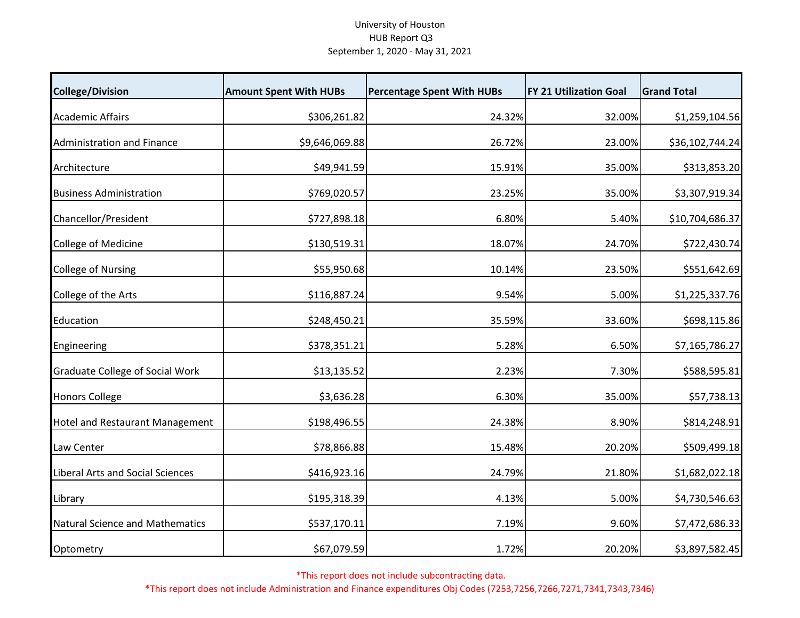## University of Houston HUB Report Q3 September 1, 2020 ‐ May 31, 2021

| <b>College/Division</b>                | <b>Amount Spent With HUBs</b> | <b>Percentage Spent With HUBs</b> | <b>FY 21 Utilization Goal</b> | <b>Grand Total</b> |
|----------------------------------------|-------------------------------|-----------------------------------|-------------------------------|--------------------|
| <b>Academic Affairs</b>                | \$306,261.82                  | 24.32%                            | 32.00%                        | \$1,259,104.56     |
| <b>Administration and Finance</b>      | \$9,646,069.88                | 26.72%                            | 23.00%                        | \$36,102,744.24    |
| Architecture                           | \$49,941.59                   | 15.91%                            | 35.00%                        | \$313,853.20       |
| <b>Business Administration</b>         | \$769,020.57                  | 23.25%                            | 35.00%                        | \$3,307,919.34     |
| Chancellor/President                   | \$727,898.18                  | 6.80%                             | 5.40%                         | \$10,704,686.37    |
| College of Medicine                    | \$130,519.31                  | 18.07%                            | 24.70%                        | \$722,430.74       |
| <b>College of Nursing</b>              | \$55,950.68                   | 10.14%                            | 23.50%                        | \$551,642.69       |
| College of the Arts                    | \$116,887.24                  | 9.54%                             | 5.00%                         | \$1,225,337.76     |
| Education                              | \$248,450.21                  | 35.59%                            | 33.60%                        | \$698,115.86       |
| Engineering                            | \$378,351.21                  | 5.28%                             | 6.50%                         | \$7,165,786.27     |
| <b>Graduate College of Social Work</b> | \$13,135.52                   | 2.23%                             | 7.30%                         | \$588,595.81       |
| <b>Honors College</b>                  | \$3,636.28                    | 6.30%                             | 35.00%                        | \$57,738.13        |
| <b>Hotel and Restaurant Management</b> | \$198,496.55                  | 24.38%                            | 8.90%                         | \$814,248.91       |
| Law Center                             | \$78,866.88                   | 15.48%                            | 20.20%                        | \$509,499.18       |
| Liberal Arts and Social Sciences       | \$416,923.16                  | 24.79%                            | 21.80%                        | \$1,682,022.18     |
| Library                                | \$195,318.39                  | 4.13%                             | 5.00%                         | \$4,730,546.63     |
| <b>Natural Science and Mathematics</b> | \$537,170.11                  | 7.19%                             | 9.60%                         | \$7,472,686.33     |
| Optometry                              | \$67,079.59                   | 1.72%                             | 20.20%                        | \$3,897,582.45     |

\*This report does not include subcontracting data.

\*This report does not include Administration and Finance expenditures Obj Codes (7253,7256,7266,7271,7341,7343,7346)